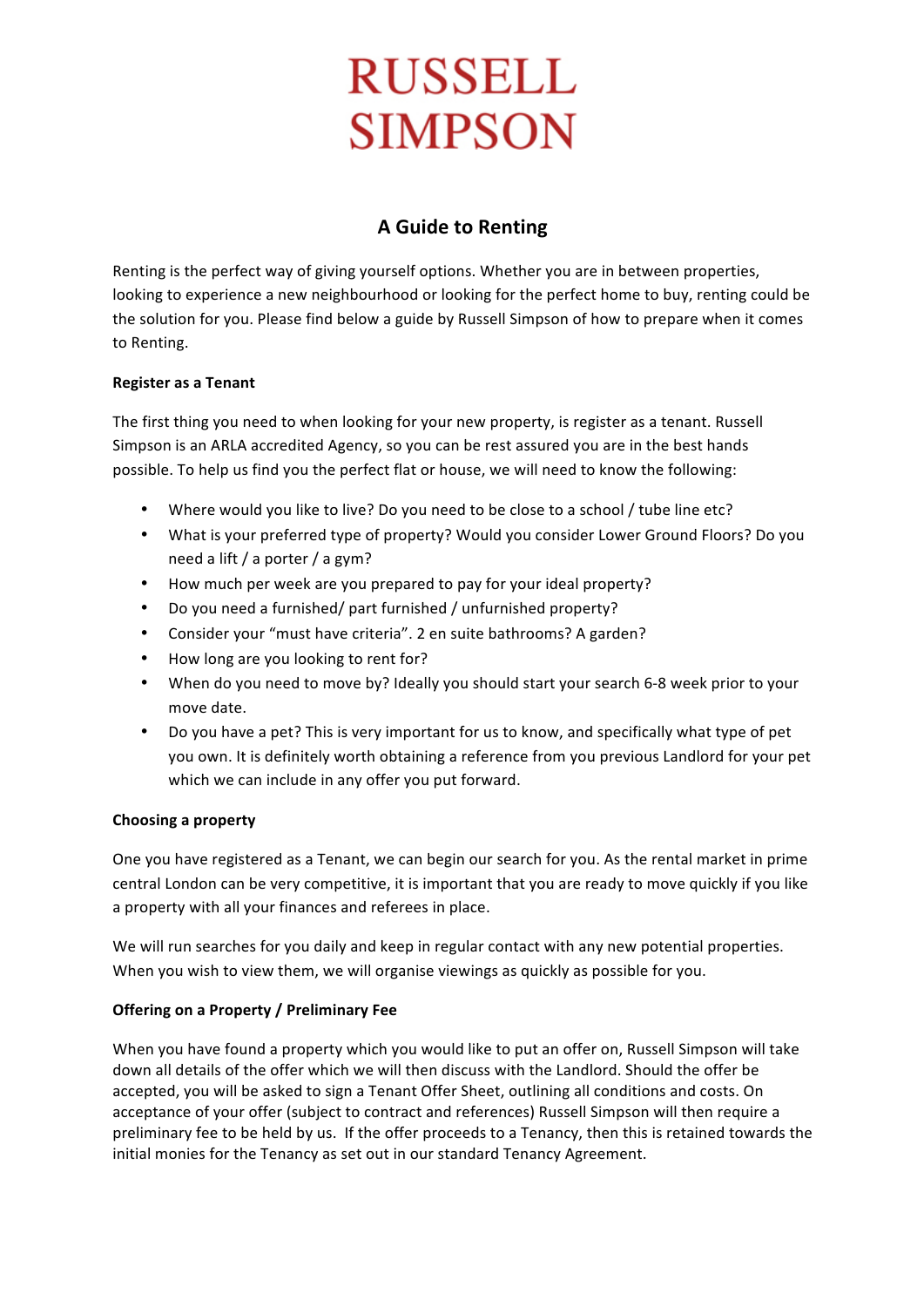# **RUSSELL SIMPSON**

# **A Guide to Renting**

Renting is the perfect way of giving yourself options. Whether you are in between properties, looking to experience a new neighbourhood or looking for the perfect home to buy, renting could be the solution for you. Please find below a guide by Russell Simpson of how to prepare when it comes to Renting.

### **Register as a Tenant**

The first thing you need to when looking for your new property, is register as a tenant. Russell Simpson is an ARLA accredited Agency, so you can be rest assured you are in the best hands possible. To help us find you the perfect flat or house, we will need to know the following:

- Where would you like to live? Do you need to be close to a school / tube line etc?
- What is your preferred type of property? Would you consider Lower Ground Floors? Do you need a lift / a porter / a gym?
- How much per week are you prepared to pay for your ideal property?
- Do you need a furnished/ part furnished / unfurnished property?
- Consider your "must have criteria". 2 en suite bathrooms? A garden?
- How long are you looking to rent for?
- When do you need to move by? Ideally you should start your search 6-8 week prior to your move date.
- Do you have a pet? This is very important for us to know, and specifically what type of pet you own. It is definitely worth obtaining a reference from you previous Landlord for your pet which we can include in any offer you put forward.

# **Choosing a property**

One you have registered as a Tenant, we can begin our search for you. As the rental market in prime central London can be very competitive, it is important that you are ready to move quickly if you like a property with all your finances and referees in place.

We will run searches for you daily and keep in regular contact with any new potential properties. When you wish to view them, we will organise viewings as quickly as possible for you.

# **Offering on a Property / Preliminary Fee**

When you have found a property which you would like to put an offer on, Russell Simpson will take down all details of the offer which we will then discuss with the Landlord. Should the offer be accepted, you will be asked to sign a Tenant Offer Sheet, outlining all conditions and costs. On acceptance of your offer (subject to contract and references) Russell Simpson will then require a preliminary fee to be held by us. If the offer proceeds to a Tenancy, then this is retained towards the initial monies for the Tenancy as set out in our standard Tenancy Agreement.